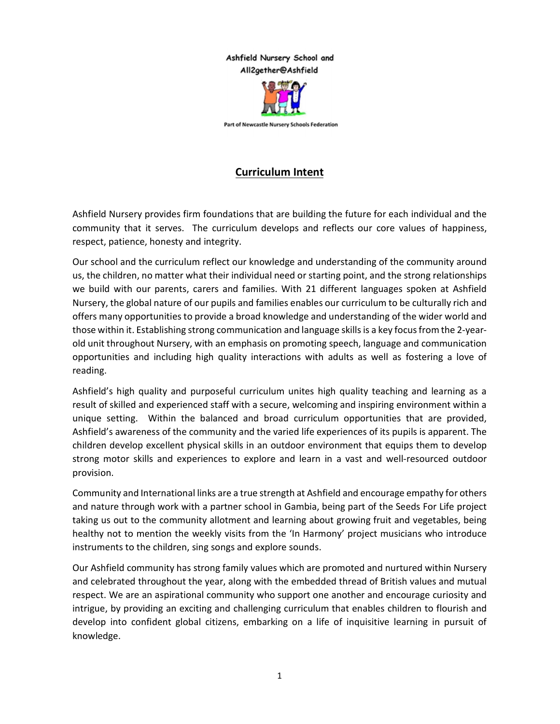## Ashfield Nursery School and All2gether@Ashfield



Part of Newcastle Nursery Schools Federation

## Curriculum Intent

Ashfield Nursery provides firm foundations that are building the future for each individual and the community that it serves. The curriculum develops and reflects our core values of happiness, respect, patience, honesty and integrity.

Our school and the curriculum reflect our knowledge and understanding of the community around us, the children, no matter what their individual need or starting point, and the strong relationships we build with our parents, carers and families. With 21 different languages spoken at Ashfield Nursery, the global nature of our pupils and families enables our curriculum to be culturally rich and offers many opportunities to provide a broad knowledge and understanding of the wider world and those within it. Establishing strong communication and language skills is a key focus from the 2-yearold unit throughout Nursery, with an emphasis on promoting speech, language and communication opportunities and including high quality interactions with adults as well as fostering a love of reading.

Ashfield's high quality and purposeful curriculum unites high quality teaching and learning as a result of skilled and experienced staff with a secure, welcoming and inspiring environment within a unique setting. Within the balanced and broad curriculum opportunities that are provided, Ashfield's awareness of the community and the varied life experiences of its pupils is apparent. The children develop excellent physical skills in an outdoor environment that equips them to develop strong motor skills and experiences to explore and learn in a vast and well-resourced outdoor provision.

Community and International links are a true strength at Ashfield and encourage empathy for others and nature through work with a partner school in Gambia, being part of the Seeds For Life project taking us out to the community allotment and learning about growing fruit and vegetables, being healthy not to mention the weekly visits from the 'In Harmony' project musicians who introduce instruments to the children, sing songs and explore sounds.

Our Ashfield community has strong family values which are promoted and nurtured within Nursery and celebrated throughout the year, along with the embedded thread of British values and mutual respect. We are an aspirational community who support one another and encourage curiosity and intrigue, by providing an exciting and challenging curriculum that enables children to flourish and develop into confident global citizens, embarking on a life of inquisitive learning in pursuit of knowledge.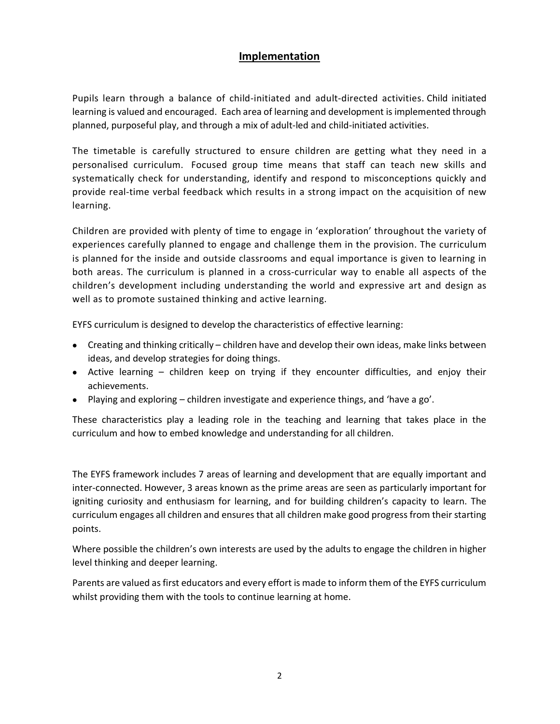## Implementation

Pupils learn through a balance of child-initiated and adult-directed activities. Child initiated learning is valued and encouraged. Each area of learning and development is implemented through planned, purposeful play, and through a mix of adult-led and child-initiated activities.

The timetable is carefully structured to ensure children are getting what they need in a personalised curriculum. Focused group time means that staff can teach new skills and systematically check for understanding, identify and respond to misconceptions quickly and provide real-time verbal feedback which results in a strong impact on the acquisition of new learning.

Children are provided with plenty of time to engage in 'exploration' throughout the variety of experiences carefully planned to engage and challenge them in the provision. The curriculum is planned for the inside and outside classrooms and equal importance is given to learning in both areas. The curriculum is planned in a cross-curricular way to enable all aspects of the children's development including understanding the world and expressive art and design as well as to promote sustained thinking and active learning.

EYFS curriculum is designed to develop the characteristics of effective learning:

- Creating and thinking critically children have and develop their own ideas, make links between ideas, and develop strategies for doing things.
- Active learning children keep on trying if they encounter difficulties, and enjoy their achievements.
- Playing and exploring children investigate and experience things, and 'have a go'.

These characteristics play a leading role in the teaching and learning that takes place in the curriculum and how to embed knowledge and understanding for all children.

The EYFS framework includes 7 areas of learning and development that are equally important and inter-connected. However, 3 areas known as the prime areas are seen as particularly important for igniting curiosity and enthusiasm for learning, and for building children's capacity to learn. The curriculum engages all children and ensures that all children make good progress from their starting points.

Where possible the children's own interests are used by the adults to engage the children in higher level thinking and deeper learning.

Parents are valued as first educators and every effort is made to inform them of the EYFS curriculum whilst providing them with the tools to continue learning at home.